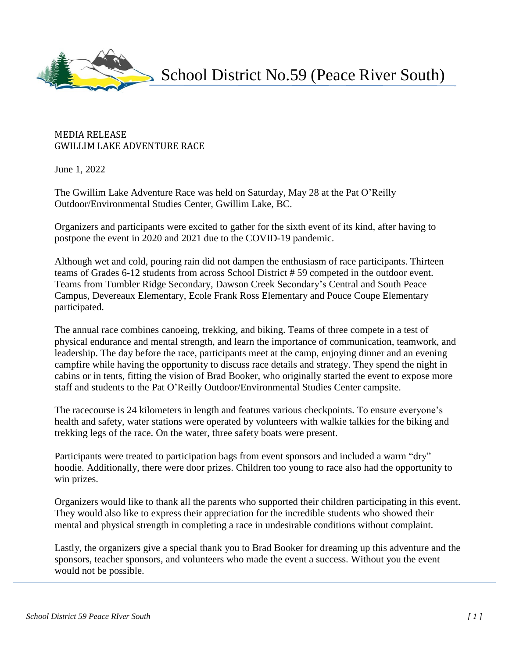

School District No.59 (Peace River South)

## MEDIA RELEASE GWILLIM LAKE ADVENTURE RACE

June 1, 2022

The Gwillim Lake Adventure Race was held on Saturday, May 28 at the Pat O'Reilly Outdoor/Environmental Studies Center, Gwillim Lake, BC.

Organizers and participants were excited to gather for the sixth event of its kind, after having to postpone the event in 2020 and 2021 due to the COVID-19 pandemic.

Although wet and cold, pouring rain did not dampen the enthusiasm of race participants. Thirteen teams of Grades 6-12 students from across School District # 59 competed in the outdoor event. Teams from Tumbler Ridge Secondary, Dawson Creek Secondary's Central and South Peace Campus, Devereaux Elementary, Ecole Frank Ross Elementary and Pouce Coupe Elementary participated.

The annual race combines canoeing, trekking, and biking. Teams of three compete in a test of physical endurance and mental strength, and learn the importance of communication, teamwork, and leadership. The day before the race, participants meet at the camp, enjoying dinner and an evening campfire while having the opportunity to discuss race details and strategy. They spend the night in cabins or in tents, fitting the vision of Brad Booker, who originally started the event to expose more staff and students to the Pat O'Reilly Outdoor/Environmental Studies Center campsite.

The racecourse is 24 kilometers in length and features various checkpoints. To ensure everyone's health and safety, water stations were operated by volunteers with walkie talkies for the biking and trekking legs of the race. On the water, three safety boats were present.

Participants were treated to participation bags from event sponsors and included a warm "dry" hoodie. Additionally, there were door prizes. Children too young to race also had the opportunity to win prizes.

Organizers would like to thank all the parents who supported their children participating in this event. They would also like to express their appreciation for the incredible students who showed their mental and physical strength in completing a race in undesirable conditions without complaint.

Lastly, the organizers give a special thank you to Brad Booker for dreaming up this adventure and the sponsors, teacher sponsors, and volunteers who made the event a success. Without you the event would not be possible.